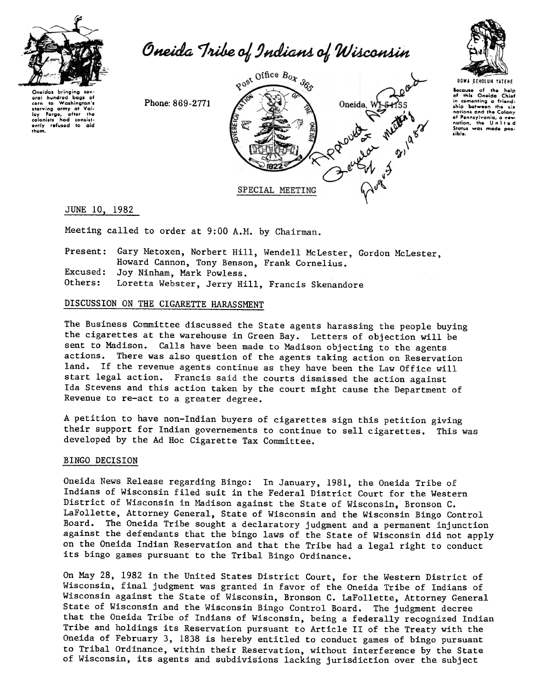

Oneida Tribe of Indians of Wisconsin

Oneidas brinaina oral hundred bags o Washington's corn  $10<sup>2</sup>$ com to washing at Val-<br>ley Forge, after the<br>colonists had consist-<br>ently refused to aid them.

Phone: 869-2771





Because of the help<br>of this Oneida Chief in comenting a friend-<br>ship between the six nations and the Colony of Pennsylvania, a nev nation, the United<br>States was made possible.

# JUNE 10, 1982

Meeting called to order at 9:00 A.M. by Chairman.

Present: Gary Metoxen, Norbert Hill, Wendell McLester, Gordon McLester, Howard Cannon, Tony Benson, Frank Cornelius. Excused: Joy Ninham, Mark Powless. Others: Loretta Webster, Jerry Hill, Francis Skenandore

# DISCUSSION ON THE CIGARETTE HARASSMENT

The Business Committee discussed the State agents harassing the people buying the cigarettes at the warehouse in Green Bay. Letters of objection will be sent to Madison. Calls have been made to Madison objecting to the agents actions. There was also question of the agents taking action on Reservation land. If the revenue agents continue as they have been the Law Office will start legal action. Francis said the courts dismissed the action against Ida Stevens and this action taken by the court might cause the Department of Revenue to re-act to a greater degree.

A petition to have non-Indian buyers of cigarettes sign this petition giving their support for Indian governements to continue to sell cigarettes. This was developed by the Ad Hoc Cigarette Tax Committee.

### BINGO DECISION

Oneida News Release regarding Bingo: In January, 1981, the Oneida Tribe of Indians of Wisconsin filed suit in the Federal District Court for the Western District of Wisconsin in Madison against the State of Wisconsin, Bronson C. LaFollette, Attorney General, State of Wisconsin and the Wisconsin Bingo Control Board. The Oneida Tribe sought a declaratory judgment and a permanent injunction against the defendants that the bingo laws of the State of Wisconsin did not apply on the Oneida Indian Reservation and that the Tribe had a legal right to conduct its bingo games pursuant to the Tribal Bingo Ordinance.

On May 28, 1982 in the United States District Court, for the Western District of Wisconsin, final judgment was granted in favor of the Oneida Tribe of Indians of Wisconsin against the State of Wisconsin, Bronson C. LaFollette, Attorney General State of Wisconsin and the Wisconsin Bingo Control Board. The judgment decree that the Oneida Tribe of Indians of Wisconsin, being a federally recognized Indian Tribe and holdings its Reservation pursuant to Article II of the Treaty with the Oneida of February 3, 1838 is hereby entitled to conduct games of bingo pursuant to Tribal Ordinance, within their Reservation, without interference by the State of Wisconsin, its agents and subdivisions lacking jurisdiction over the subject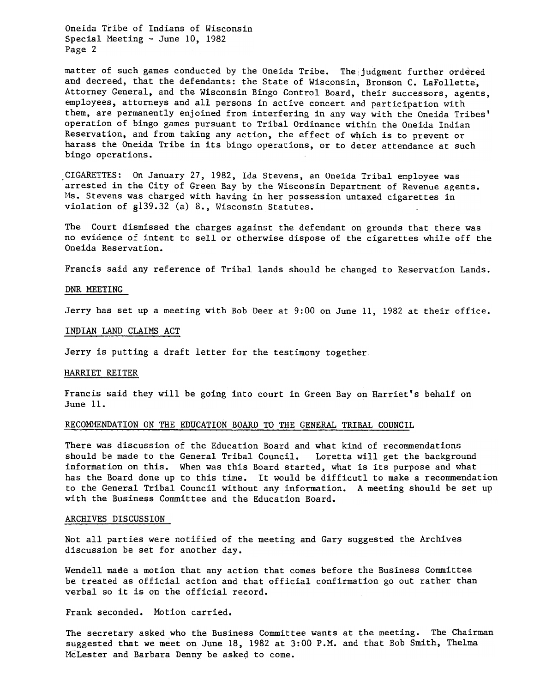Oneida Tribe of Indians of Wisconsin Special Meeting - June 10, 1982 Page 2

matter of such games conducted by the Oneida Tribe. The judgment further ordered and decreed, that the defendants: the State of Wisconsin, Bronson C. LaFollette, Attorney General, and the Wisconsin Bingo Control Board, their successors, agents, employees, attorneys and all persons in active concert and participation with them, are permanently enjoined from interfering in any way with the Oneida Tribes' operation of bingo games pursuant to Tribal Ordinance within the Oneida Indian Reservation, and from taking any action, the effect of which is to prevent or harass the Oneida Tribe in its bingo operations, or to deter attendance at such bingo operations.

CIGARETTES: On January 27, 1982, Ida Stevens, an Oneida Tribal employee was arrested in the City of Green Bay by the Wisconsin Department of Revenue agents. Ms. Stevens was charged with having in her possession untaxed cigarettes in violation of §139.32 (a) 8., Wisconsin Statutes.

The Court dismissed the charges against the defendant on grounds that there was no evidence of intent to sell or otherwise dispose of the cigarettes while off the Oneida Reservation.

Francis said any reference of Tribal lands should be changed to Reservation Lands.

### DNR MEETING

Jerry has set up a meeting with Bob Deer at 9:00 on June 11, 1982 at their office.

## INDIAN LAND CLAIMS ACT

Jerry is putting a draft letter for the testimony together

### HARRIET REITER

Francis said they will be going into court in Green Bay on Harriet's behalf on June 11.

## RECOMMENDATION ON THE EDUCATION BOARD TO THE GENERAL TRIBAL COUNCIL

There was discussion of the Education Board and what kind of recommendations should be made to the General Tribal Council. Loretta will get the background information on this. When was this Board started, what is its purpose and what has the Board done up to this time. It would be difficutl to make a recommendation to the General Tribal Council without any information. A meeting should be set up with the Business Committee and the Education Board.

## ARCHIVES DISCUSSION

Not all parties were notified of the meeting and Gary suggested the Archives discussion be set for another day.

Wendell made a motion that any action that comes before the Business Committee be treated as official action and that official confirmation go out rather than verbal so it is on the official record.

Frank seconded. Motion carried.

The secretary asked who the Business Committee wants at the meeting. The Chairman suggested that we meet on June 18, 1982 at 3:00 P.M. and that Bob Smith, Thelma McLester and Barbara Denny be asked to come.